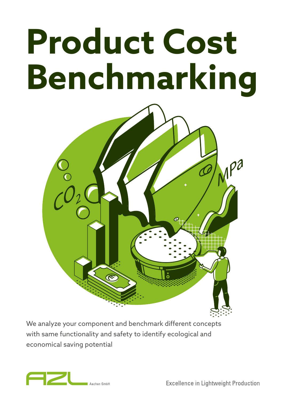# **Product Cost Benchmarking**



We analyze your component and benchmark different concepts with same functionality and safety to identify ecological and economical saving potential